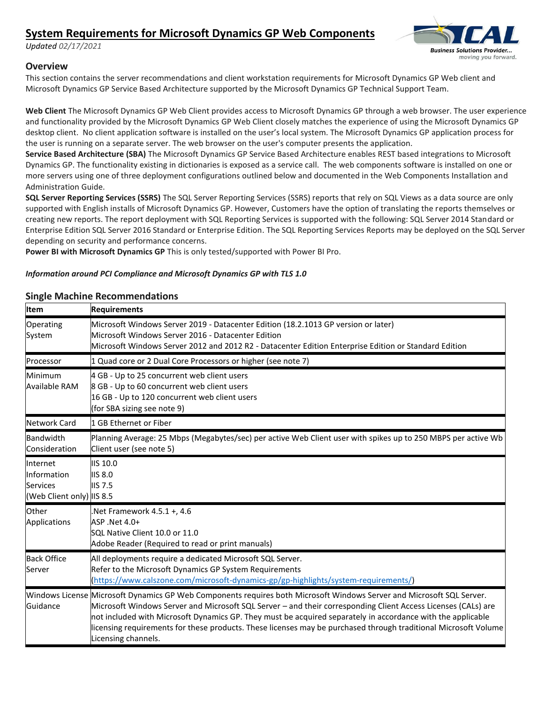# **System Requirements for Microsoft Dynamics GP Web Components**

*Updated 02/17/2021*



### **Overview**

This section contains the server recommendations and client workstation requirements for Microsoft Dynamics GP Web client and Microsoft Dynamics GP Service Based Architecture supported by the Microsoft Dynamics GP Technical Support Team.

**Web Client** The Microsoft Dynamics GP Web Client provides access to Microsoft Dynamics GP through a web browser. The user experience and functionality provided by the Microsoft Dynamics GP Web Client closely matches the experience of using the Microsoft Dynamics GP desktop client. No client application software is installed on the user's local system. The Microsoft Dynamics GP application process for the user is running on a separate server. The web browser on the user's computer presents the application.

**Service Based Architecture (SBA)** The Microsoft Dynamics GP Service Based Architecture enables REST based integrations to Microsoft Dynamics GP. The functionality existing in dictionaries is exposed as a service call. The web components software is installed on one or more servers using one of three deployment configurations outlined below and documented in the Web Components Installation and Administration Guide.

**SQL Server Reporting Services (SSRS)** The SQL Server Reporting Services (SSRS) reports that rely on SQL Views as a data source are only supported with English installs of Microsoft Dynamics GP. However, Customers have the option of translating the reports themselves or creating new reports. The report deployment with SQL Reporting Services is supported with the following: SQL Server 2014 Standard or Enterprise Edition SQL Server 2016 Standard or Enterprise Edition. The SQL Reporting Services Reports may be deployed on the SQL Server depending on security and performance concerns.

**Power BI with Microsoft Dynamics GP** This is only tested/supported with Power BI Pro.

### *Information around PCI Compliance and Microsoft Dynamics GP with TLS 1.0*

### **Single Machine Recommendations**

| Item                                                             | <b>Requirements</b>                                                                                                                                                                                                                                                                                                                                                                                                                                                                             |  |  |
|------------------------------------------------------------------|-------------------------------------------------------------------------------------------------------------------------------------------------------------------------------------------------------------------------------------------------------------------------------------------------------------------------------------------------------------------------------------------------------------------------------------------------------------------------------------------------|--|--|
| Operating<br>System                                              | Microsoft Windows Server 2019 - Datacenter Edition (18.2.1013 GP version or later)<br>Microsoft Windows Server 2016 - Datacenter Edition<br>Microsoft Windows Server 2012 and 2012 R2 - Datacenter Edition Enterprise Edition or Standard Edition                                                                                                                                                                                                                                               |  |  |
| Processor                                                        | 1 Quad core or 2 Dual Core Processors or higher (see note 7)                                                                                                                                                                                                                                                                                                                                                                                                                                    |  |  |
| Minimum<br>Available RAM                                         | 4 GB - Up to 25 concurrent web client users<br>8 GB - Up to 60 concurrent web client users<br>16 GB - Up to 120 concurrent web client users<br>(for SBA sizing see note 9)                                                                                                                                                                                                                                                                                                                      |  |  |
| Network Card                                                     | 1 GB Ethernet or Fiber                                                                                                                                                                                                                                                                                                                                                                                                                                                                          |  |  |
| Bandwidth<br>Consideration                                       | Planning Average: 25 Mbps (Megabytes/sec) per active Web Client user with spikes up to 250 MBPS per active Wb<br>Client user (see note 5)                                                                                                                                                                                                                                                                                                                                                       |  |  |
| Internet<br>Information<br>Services<br>(Web Client only) IIS 8.5 | IIS 10.0<br><b>IIS 8.0</b><br><b>IIS 7.5</b>                                                                                                                                                                                                                                                                                                                                                                                                                                                    |  |  |
| Other<br>Applications                                            | Net Framework 4.5.1 +, 4.6<br>ASP .Net 4.0+<br>SQL Native Client 10.0 or 11.0<br>Adobe Reader (Required to read or print manuals)                                                                                                                                                                                                                                                                                                                                                               |  |  |
| <b>Back Office</b><br>Server                                     | All deployments require a dedicated Microsoft SQL Server.<br>Refer to the Microsoft Dynamics GP System Requirements<br>(https://www.calszone.com/microsoft-dynamics-gp/gp-highlights/system-requirements/)                                                                                                                                                                                                                                                                                      |  |  |
| Guidance                                                         | Windows License Microsoft Dynamics GP Web Components requires both Microsoft Windows Server and Microsoft SQL Server.<br>Microsoft Windows Server and Microsoft SQL Server - and their corresponding Client Access Licenses (CALs) are<br>not included with Microsoft Dynamics GP. They must be acquired separately in accordance with the applicable<br>licensing requirements for these products. These licenses may be purchased through traditional Microsoft Volume<br>Licensing channels. |  |  |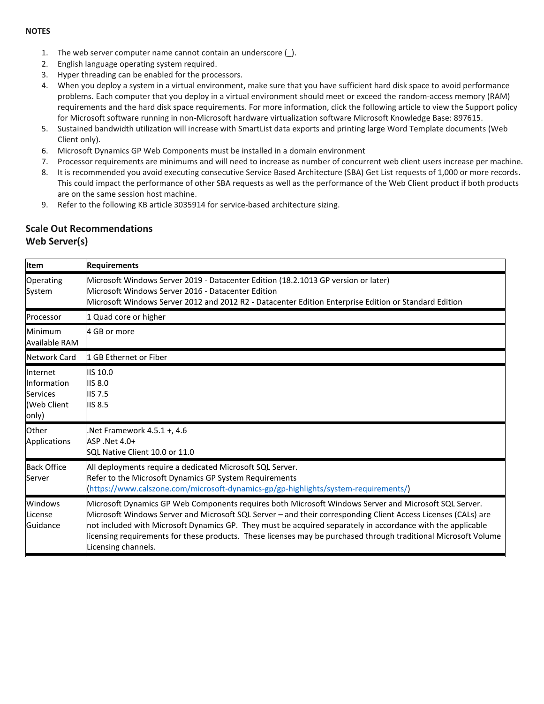#### **NOTES**

- 1. The web server computer name cannot contain an underscore (\_).
- 2. English language operating system required.
- 3. Hyper threading can be enabled for the processors.
- 4. When you deploy a system in a virtual environment, make sure that you have sufficient hard disk space to avoid performance problems. Each computer that you deploy in a virtual environment should meet or exceed the random-access memory (RAM) requirements and the hard disk space requirements. For more information, click the following article to view the Support policy for Microsoft software running in non-Microsoft hardware virtualization software Microsoft Knowledge Base: 897615.
- 5. Sustained bandwidth utilization will increase with SmartList data exports and printing large Word Template documents (Web Client only).
- 6. Microsoft Dynamics GP Web Components must be installed in a domain environment
- 7. Processor requirements are minimums and will need to increase as number of concurrent web client users increase per machine.
- 8. It is recommended you avoid executing consecutive Service Based Architecture (SBA) Get List requests of 1,000 or more records. This could impact the performance of other SBA requests as well as the performance of the Web Client product if both products are on the same session host machine.
- 9. Refer to the following KB article 3035914 for service-based architecture sizing.

### **Scale Out Recommendations Web Server(s)**

| <b>Item</b>                                                 | <b>Requirements</b>                                                                                                                                                                                                                                                                                                                                                                                                                                                             |  |  |
|-------------------------------------------------------------|---------------------------------------------------------------------------------------------------------------------------------------------------------------------------------------------------------------------------------------------------------------------------------------------------------------------------------------------------------------------------------------------------------------------------------------------------------------------------------|--|--|
| Operating<br>System                                         | Microsoft Windows Server 2019 - Datacenter Edition (18.2.1013 GP version or later)<br>Microsoft Windows Server 2016 - Datacenter Edition<br>Microsoft Windows Server 2012 and 2012 R2 - Datacenter Edition Enterprise Edition or Standard Edition                                                                                                                                                                                                                               |  |  |
| Processor                                                   | 1 Quad core or higher                                                                                                                                                                                                                                                                                                                                                                                                                                                           |  |  |
| Minimum<br>Available RAM                                    | 4 GB or more                                                                                                                                                                                                                                                                                                                                                                                                                                                                    |  |  |
| Network Card                                                | 1 GB Ethernet or Fiber                                                                                                                                                                                                                                                                                                                                                                                                                                                          |  |  |
| Internet<br>Information<br>Services<br>(Web Client<br>only) | <b>IIS 10.0</b><br><b>IIS 8.0</b><br><b>IIS 7.5</b><br><b>IIS 8.5</b>                                                                                                                                                                                                                                                                                                                                                                                                           |  |  |
| Other<br>Applications                                       | Net Framework 4.5.1 +, 4.6<br>ASP .Net 4.0+<br>SQL Native Client 10.0 or 11.0                                                                                                                                                                                                                                                                                                                                                                                                   |  |  |
| <b>Back Office</b><br>Server                                | All deployments require a dedicated Microsoft SQL Server.<br>Refer to the Microsoft Dynamics GP System Requirements<br>(https://www.calszone.com/microsoft-dynamics-gp/gp-highlights/system-requirements/)                                                                                                                                                                                                                                                                      |  |  |
| Windows<br>License<br>Guidance                              | Microsoft Dynamics GP Web Components requires both Microsoft Windows Server and Microsoft SQL Server.<br>Microsoft Windows Server and Microsoft SQL Server - and their corresponding Client Access Licenses (CALs) are<br>not included with Microsoft Dynamics GP. They must be acquired separately in accordance with the applicable<br>licensing requirements for these products. These licenses may be purchased through traditional Microsoft Volume<br>Licensing channels. |  |  |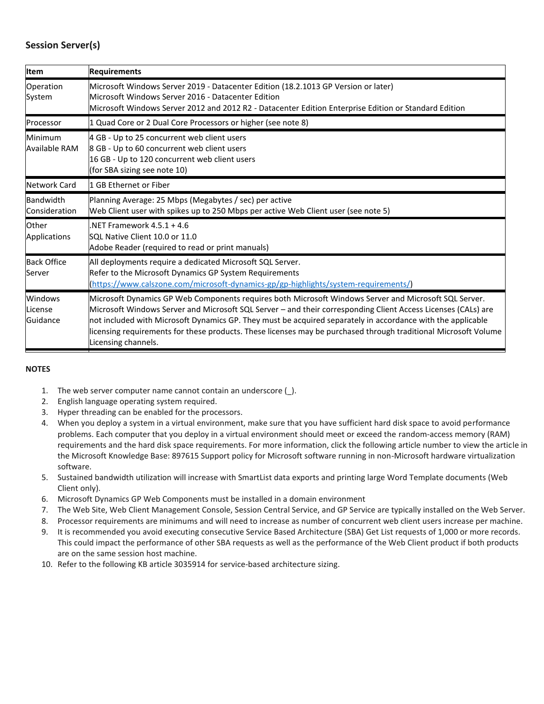# **Session Server(s)**

| <b>Item</b>                    | <b>Requirements</b>                                                                                                                                                                                                                                                                                                                                                                                                                                                             |  |  |
|--------------------------------|---------------------------------------------------------------------------------------------------------------------------------------------------------------------------------------------------------------------------------------------------------------------------------------------------------------------------------------------------------------------------------------------------------------------------------------------------------------------------------|--|--|
| Operation<br>System            | Microsoft Windows Server 2019 - Datacenter Edition (18.2.1013 GP Version or later)<br>Microsoft Windows Server 2016 - Datacenter Edition<br>Microsoft Windows Server 2012 and 2012 R2 - Datacenter Edition Enterprise Edition or Standard Edition                                                                                                                                                                                                                               |  |  |
| Processor                      | 1 Quad Core or 2 Dual Core Processors or higher (see note 8)                                                                                                                                                                                                                                                                                                                                                                                                                    |  |  |
| Minimum<br>Available RAM       | 4 GB - Up to 25 concurrent web client users<br>8 GB - Up to 60 concurrent web client users<br>16 GB - Up to 120 concurrent web client users<br>(for SBA sizing see note 10)                                                                                                                                                                                                                                                                                                     |  |  |
| Network Card                   | 1 GB Ethernet or Fiber                                                                                                                                                                                                                                                                                                                                                                                                                                                          |  |  |
| Bandwidth<br>Consideration     | Planning Average: 25 Mbps (Megabytes / sec) per active<br>Web Client user with spikes up to 250 Mbps per active Web Client user (see note 5)                                                                                                                                                                                                                                                                                                                                    |  |  |
| Other<br>Applications          | NFT Framework $4.5.1 + 4.6$<br>SQL Native Client 10.0 or 11.0<br>Adobe Reader (required to read or print manuals)                                                                                                                                                                                                                                                                                                                                                               |  |  |
| <b>Back Office</b><br>Server   | All deployments require a dedicated Microsoft SQL Server.<br>Refer to the Microsoft Dynamics GP System Requirements<br>(https://www.calszone.com/microsoft-dynamics-gp/gp-highlights/system-requirements/)                                                                                                                                                                                                                                                                      |  |  |
| Windows<br>License<br>Guidance | Microsoft Dynamics GP Web Components requires both Microsoft Windows Server and Microsoft SQL Server.<br>Microsoft Windows Server and Microsoft SQL Server - and their corresponding Client Access Licenses (CALs) are<br>not included with Microsoft Dynamics GP. They must be acquired separately in accordance with the applicable<br>licensing requirements for these products. These licenses may be purchased through traditional Microsoft Volume<br>Licensing channels. |  |  |

#### **NOTES**

- 1. The web server computer name cannot contain an underscore ().
- 2. English language operating system required.
- 3. Hyper threading can be enabled for the processors.
- 4. When you deploy a system in a virtual environment, make sure that you have sufficient hard disk space to avoid performance problems. Each computer that you deploy in a virtual environment should meet or exceed the random-access memory (RAM) requirements and the hard disk space requirements. For more information, click the following article number to view the article in the Microsoft Knowledge Base: 897615 Support policy for Microsoft software running in non-Microsoft hardware virtualization software.
- 5. Sustained bandwidth utilization will increase with SmartList data exports and printing large Word Template documents (Web Client only).
- 6. Microsoft Dynamics GP Web Components must be installed in a domain environment
- 7. The Web Site, Web Client Management Console, Session Central Service, and GP Service are typically installed on the Web Server.
- 8. Processor requirements are minimums and will need to increase as number of concurrent web client users increase per machine.
- 9. It is recommended you avoid executing consecutive Service Based Architecture (SBA) Get List requests of 1,000 or more records. This could impact the performance of other SBA requests as well as the performance of the Web Client product if both products are on the same session host machine.
- 10. Refer to the following KB article 3035914 for service-based architecture sizing.